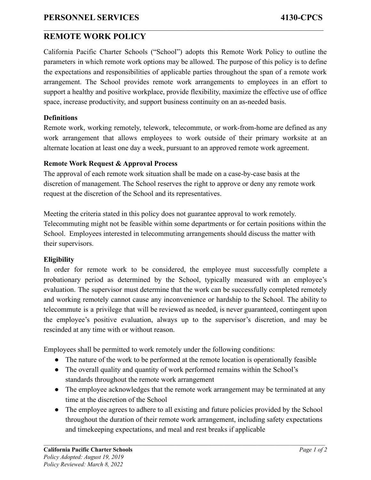# **REMOTE WORK POLICY**

California Pacific Charter Schools ("School") adopts this Remote Work Policy to outline the parameters in which remote work options may be allowed. The purpose of this policy is to define the expectations and responsibilities of applicable parties throughout the span of a remote work arrangement. The School provides remote work arrangements to employees in an effort to support a healthy and positive workplace, provide flexibility, maximize the effective use of office space, increase productivity, and support business continuity on an as-needed basis.

 $\mathcal{L}_\mathcal{L} = \{ \mathcal{L}_\mathcal{L} = \{ \mathcal{L}_\mathcal{L} = \{ \mathcal{L}_\mathcal{L} = \{ \mathcal{L}_\mathcal{L} = \{ \mathcal{L}_\mathcal{L} = \{ \mathcal{L}_\mathcal{L} = \{ \mathcal{L}_\mathcal{L} = \{ \mathcal{L}_\mathcal{L} = \{ \mathcal{L}_\mathcal{L} = \{ \mathcal{L}_\mathcal{L} = \{ \mathcal{L}_\mathcal{L} = \{ \mathcal{L}_\mathcal{L} = \{ \mathcal{L}_\mathcal{L} = \{ \mathcal{L}_\mathcal{$ 

### **Definitions**

Remote work, working remotely, telework, telecommute, or work-from-home are defined as any work arrangement that allows employees to work outside of their primary worksite at an alternate location at least one day a week, pursuant to an approved remote work agreement.

### **Remote Work Request & Approval Process**

The approval of each remote work situation shall be made on a case-by-case basis at the discretion of management. The School reserves the right to approve or deny any remote work request at the discretion of the School and its representatives.

Meeting the criteria stated in this policy does not guarantee approval to work remotely. Telecommuting might not be feasible within some departments or for certain positions within the School. Employees interested in telecommuting arrangements should discuss the matter with their supervisors.

## **Eligibility**

In order for remote work to be considered, the employee must successfully complete a probationary period as determined by the School, typically measured with an employee's evaluation. The supervisor must determine that the work can be successfully completed remotely and working remotely cannot cause any inconvenience or hardship to the School. The ability to telecommute is a privilege that will be reviewed as needed, is never guaranteed, contingent upon the employee's positive evaluation, always up to the supervisor's discretion, and may be rescinded at any time with or without reason.

Employees shall be permitted to work remotely under the following conditions:

- The nature of the work to be performed at the remote location is operationally feasible
- The overall quality and quantity of work performed remains within the School's standards throughout the remote work arrangement
- The employee acknowledges that the remote work arrangement may be terminated at any time at the discretion of the School
- The employee agrees to adhere to all existing and future policies provided by the School throughout the duration of their remote work arrangement, including safety expectations and timekeeping expectations, and meal and rest breaks if applicable